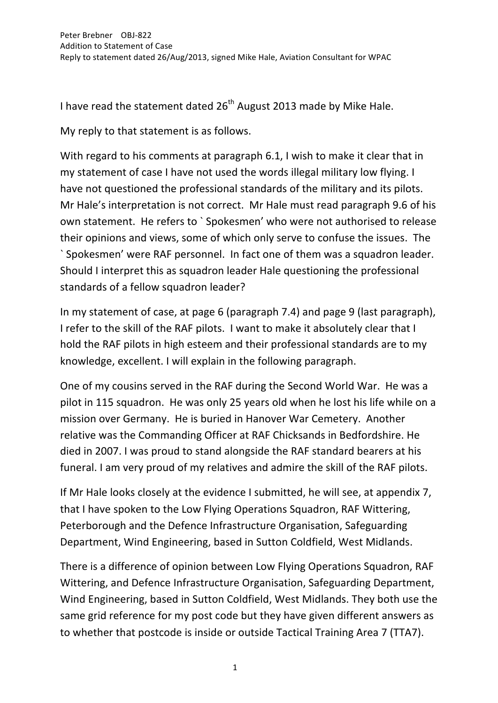I have read the statement dated  $26^{th}$  August 2013 made by Mike Hale.

My reply to that statement is as follows.

With regard to his comments at paragraph 6.1, I wish to make it clear that in my statement of case I have not used the words illegal military low flying. I have not questioned the professional standards of the military and its pilots. Mr Hale's interpretation is not correct. Mr Hale must read paragraph 9.6 of his own statement. He refers to `Spokesmen' who were not authorised to release their opinions and views, some of which only serve to confuse the issues. The `Spokesmen' were RAF personnel. In fact one of them was a squadron leader. Should I interpret this as squadron leader Hale questioning the professional standards of a fellow squadron leader?

In my statement of case, at page 6 (paragraph 7.4) and page 9 (last paragraph), I refer to the skill of the RAF pilots. I want to make it absolutely clear that I hold the RAF pilots in high esteem and their professional standards are to my knowledge, excellent. I will explain in the following paragraph.

One of my cousins served in the RAF during the Second World War. He was a pilot in 115 squadron. He was only 25 years old when he lost his life while on a mission over Germany. He is buried in Hanover War Cemetery. Another relative was the Commanding Officer at RAF Chicksands in Bedfordshire. He died in 2007. I was proud to stand alongside the RAF standard bearers at his funeral. I am very proud of my relatives and admire the skill of the RAF pilots.

If Mr Hale looks closely at the evidence I submitted, he will see, at appendix 7, that I have spoken to the Low Flying Operations Squadron, RAF Wittering, Peterborough and the Defence Infrastructure Organisation, Safeguarding Department, Wind Engineering, based in Sutton Coldfield, West Midlands.

There is a difference of opinion between Low Flying Operations Squadron, RAF Wittering, and Defence Infrastructure Organisation, Safeguarding Department, Wind Engineering, based in Sutton Coldfield, West Midlands. They both use the same grid reference for my post code but they have given different answers as to whether that postcode is inside or outside Tactical Training Area 7 (TTA7).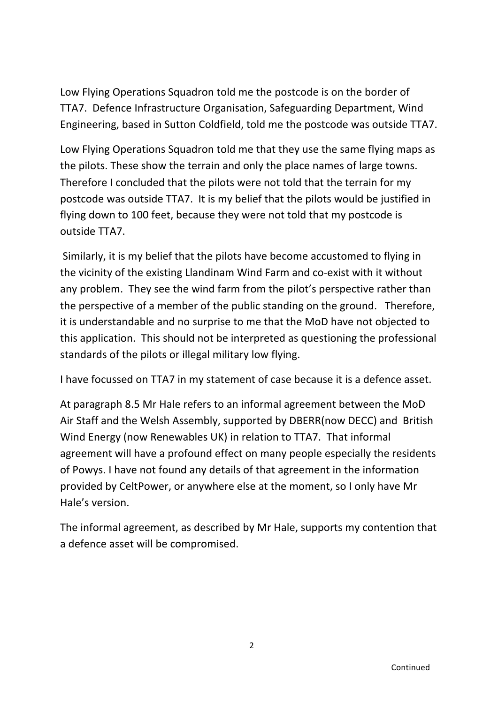Low Flying Operations Squadron told me the postcode is on the border of TTA7. Defence Infrastructure Organisation, Safeguarding Department, Wind Engineering, based in Sutton Coldfield, told me the postcode was outside TTA7.

Low Flying Operations Squadron told me that they use the same flying maps as the pilots. These show the terrain and only the place names of large towns. Therefore I concluded that the pilots were not told that the terrain for my postcode was outside TTA7. It is my belief that the pilots would be justified in flying down to 100 feet, because they were not told that my postcode is outside TTA7.

Similarly, it is my belief that the pilots have become accustomed to flying in the vicinity of the existing Llandinam Wind Farm and co-exist with it without any problem. They see the wind farm from the pilot's perspective rather than the perspective of a member of the public standing on the ground. Therefore, it is understandable and no surprise to me that the MoD have not objected to this application. This should not be interpreted as questioning the professional standards of the pilots or illegal military low flying.

I have focussed on TTA7 in my statement of case because it is a defence asset.

At paragraph 8.5 Mr Hale refers to an informal agreement between the MoD Air Staff and the Welsh Assembly, supported by DBERR(now DECC) and British Wind Energy (now Renewables UK) in relation to TTA7. That informal agreement will have a profound effect on many people especially the residents of Powys. I have not found any details of that agreement in the information provided by CeltPower, or anywhere else at the moment, so I only have Mr Hale's version.

The informal agreement, as described by Mr Hale, supports my contention that a defence asset will be compromised.